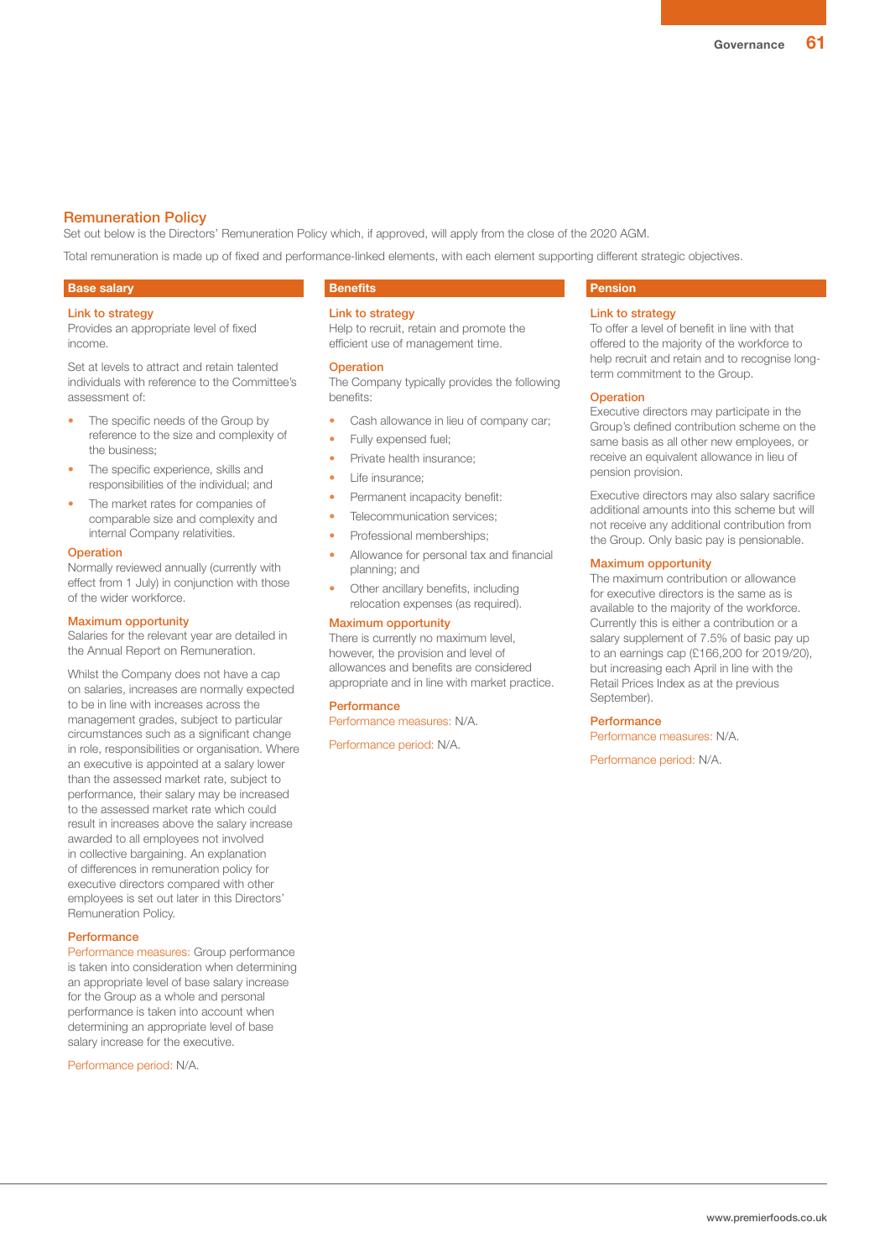# Remuneration Policy

Set out below is the Directors' Remuneration Policy which, if approved, will apply from the close of the 2020 AGM.

Total remuneration is made up of fixed and performance-linked elements, with each element supporting different strategic objectives.

#### Base salary

#### Link to strategy

Provides an appropriate level of fixed income.

Set at levels to attract and retain talented individuals with reference to the Committee's assessment of:

- The specific needs of the Group by reference to the size and complexity of the business;
- The specific experience, skills and responsibilities of the individual; and
- The market rates for companies of comparable size and complexity and internal Company relativities.

#### **Operation**

Normally reviewed annually (currently with effect from 1 July) in conjunction with those of the wider workforce.

### Maximum opportunity

Salaries for the relevant year are detailed in the Annual Report on Remuneration.

Whilst the Company does not have a cap on salaries, increases are normally expected to be in line with increases across the management grades, subject to particular circumstances such as a significant change in role, responsibilities or organisation. Where an executive is appointed at a salary lower than the assessed market rate, subject to performance, their salary may be increased to the assessed market rate which could result in increases above the salary increase awarded to all employees not involved in collective bargaining. An explanation of differences in remuneration policy for executive directors compared with other employees is set out later in this Directors' Remuneration Policy.

#### **Performance**

Performance measures: Group performance is taken into consideration when determining an appropriate level of base salary increase for the Group as a whole and personal performance is taken into account when determining an appropriate level of base salary increase for the executive.

Performance period: N/A.

# **Benefits**

## Link to strategy

Help to recruit, retain and promote the efficient use of management time.

## **Operation**

The Company typically provides the following benefits:

- Cash allowance in lieu of company car;
- Fully expensed fuel;
- Private health insurance;
- Life insurance;
- Permanent incapacity benefit:
- Telecommunication services;
- Professional memberships;
- Allowance for personal tax and financial planning; and
- Other ancillary benefits, including relocation expenses (as required).

#### Maximum opportunity

There is currently no maximum level, however, the provision and level of allowances and benefits are considered appropriate and in line with market practice.

#### **Performance**

Performance measures: N/A.

Performance period: N/A.

# Pension

## Link to strategy

To offer a level of benefit in line with that offered to the majority of the workforce to help recruit and retain and to recognise longterm commitment to the Group.

#### **Operation**

Executive directors may participate in the Group's defined contribution scheme on the same basis as all other new employees, or receive an equivalent allowance in lieu of pension provision.

Executive directors may also salary sacrifice additional amounts into this scheme but will not receive any additional contribution from the Group. Only basic pay is pensionable.

#### Maximum opportunity

The maximum contribution or allowance for executive directors is the same as is available to the majority of the workforce. Currently this is either a contribution or a salary supplement of 7.5% of basic pay up to an earnings cap (£166,200 for 2019/20), but increasing each April in line with the Retail Prices Index as at the previous September).

#### **Performance**

Performance measures: N/A.

Performance period: N/A.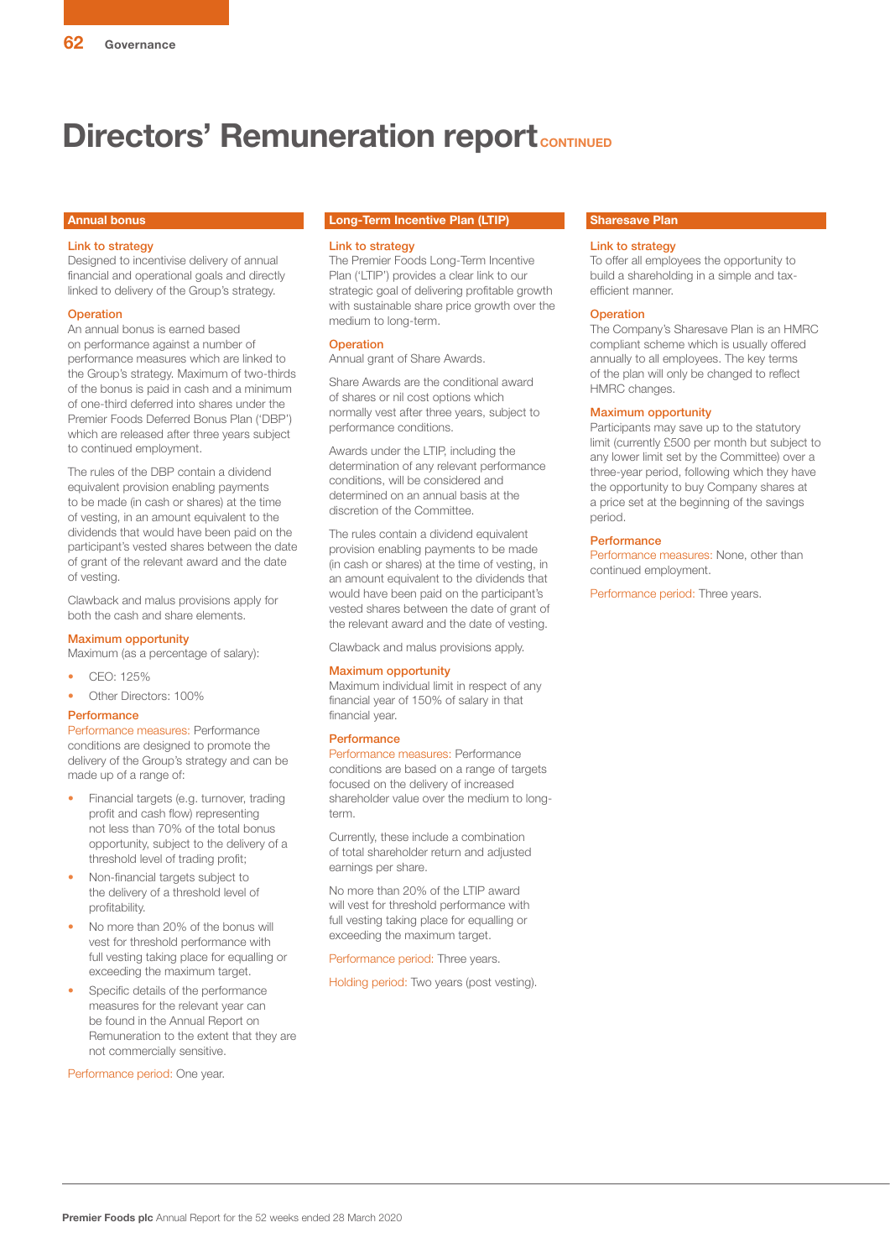# Directors' Remuneration report CONTINUED

## Annual bonus

#### Link to strategy

Designed to incentivise delivery of annual financial and operational goals and directly linked to delivery of the Group's strategy.

#### **Operation**

An annual bonus is earned based on performance against a number of performance measures which are linked to the Group's strategy. Maximum of two-thirds of the bonus is paid in cash and a minimum of one-third deferred into shares under the Premier Foods Deferred Bonus Plan ('DBP') which are released after three years subject to continued employment.

The rules of the DBP contain a dividend equivalent provision enabling payments to be made (in cash or shares) at the time of vesting, in an amount equivalent to the dividends that would have been paid on the participant's vested shares between the date of grant of the relevant award and the date of vesting.

Clawback and malus provisions apply for both the cash and share elements.

## Maximum opportunity

Maximum (as a percentage of salary):

- CEO: 125%
- Other Directors: 100%

## **Performance**

Performance measures: Performance conditions are designed to promote the delivery of the Group's strategy and can be made up of a range of:

- Financial targets (e.g. turnover, trading profit and cash flow) representing not less than 70% of the total bonus opportunity, subject to the delivery of a threshold level of trading profit;
- Non-financial targets subject to the delivery of a threshold level of profitability.
- No more than 20% of the bonus will vest for threshold performance with full vesting taking place for equalling or exceeding the maximum target.
- Specific details of the performance measures for the relevant year can be found in the Annual Report on Remuneration to the extent that they are not commercially sensitive.

Performance period: One year.

#### Long-Term Incentive Plan (LTIP)

#### Link to strategy

The Premier Foods Long-Term Incentive Plan ('LTIP') provides a clear link to our strategic goal of delivering profitable growth with sustainable share price growth over the medium to long-term.

#### **Operation**

Annual grant of Share Awards.

Share Awards are the conditional award of shares or nil cost options which normally vest after three years, subject to performance conditions.

Awards under the LTIP, including the determination of any relevant performance conditions, will be considered and determined on an annual basis at the discretion of the Committee.

The rules contain a dividend equivalent provision enabling payments to be made (in cash or shares) at the time of vesting, in an amount equivalent to the dividends that would have been paid on the participant's vested shares between the date of grant of the relevant award and the date of vesting.

Clawback and malus provisions apply.

#### Maximum opportunity

Maximum individual limit in respect of any financial year of 150% of salary in that financial year.

#### **Performance**

Performance measures: Performance conditions are based on a range of targets focused on the delivery of increased shareholder value over the medium to longterm.

Currently, these include a combination of total shareholder return and adjusted earnings per share.

No more than 20% of the LTIP award will vest for threshold performance with full vesting taking place for equalling or exceeding the maximum target.

Performance period: Three years.

Holding period: Two years (post vesting).

# Sharesave Plan

#### Link to strategy

To offer all employees the opportunity to build a shareholding in a simple and taxefficient manner.

#### **Operation**

The Company's Sharesave Plan is an HMRC compliant scheme which is usually offered annually to all employees. The key terms of the plan will only be changed to reflect HMRC changes.

#### Maximum opportunity

Participants may save up to the statutory limit (currently £500 per month but subject to any lower limit set by the Committee) over a three-year period, following which they have the opportunity to buy Company shares at a price set at the beginning of the savings period.

### **Performance**

Performance measures: None, other than continued employment.

Performance period: Three years.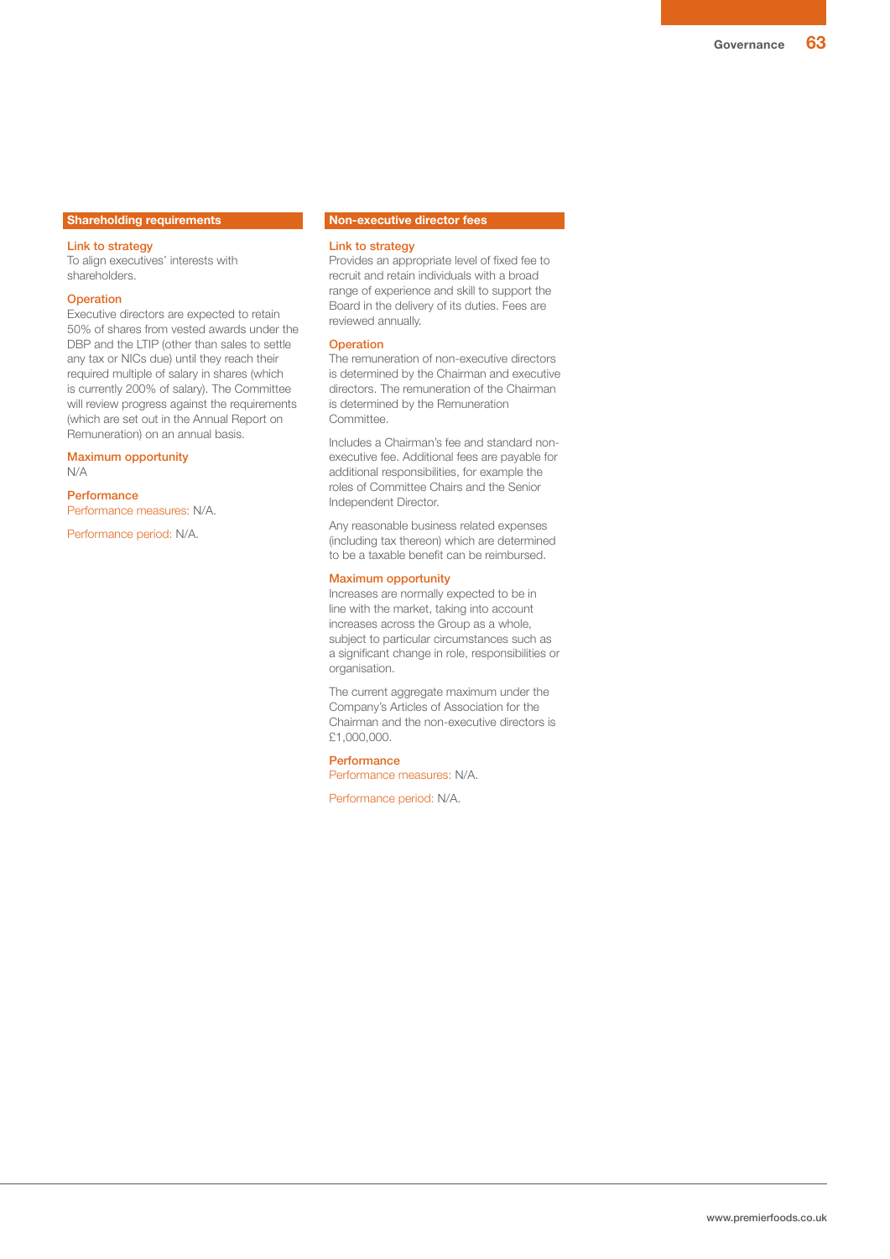### Shareholding requirements

#### Link to strategy

To align executives' interests with shareholders.

#### **Operation**

Executive directors are expected to retain 50% of shares from vested awards under the DBP and the LTIP (other than sales to settle any tax or NICs due) until they reach their required multiple of salary in shares (which is currently 200% of salary). The Committee will review progress against the requirements (which are set out in the Annual Report on Remuneration) on an annual basis.

Maximum opportunity N/A

**Performance** Performance measures: N/A.

Performance period: N/A.

#### Non-executive director fees

#### Link to strategy

Provides an appropriate level of fixed fee to recruit and retain individuals with a broad range of experience and skill to support the Board in the delivery of its duties. Fees are reviewed annually.

#### **Operation**

The remuneration of non-executive directors is determined by the Chairman and executive directors. The remuneration of the Chairman is determined by the Remuneration Committee.

Includes a Chairman's fee and standard nonexecutive fee. Additional fees are payable for additional responsibilities, for example the roles of Committee Chairs and the Senior Independent Director.

Any reasonable business related expenses (including tax thereon) which are determined to be a taxable benefit can be reimbursed.

## Maximum opportunity

Increases are normally expected to be in line with the market, taking into account increases across the Group as a whole, subject to particular circumstances such as a significant change in role, responsibilities or organisation.

The current aggregate maximum under the Company's Articles of Association for the Chairman and the non-executive directors is £1,000,000.

#### **Performance** Performance measures: N/A.

Performance period: N/A.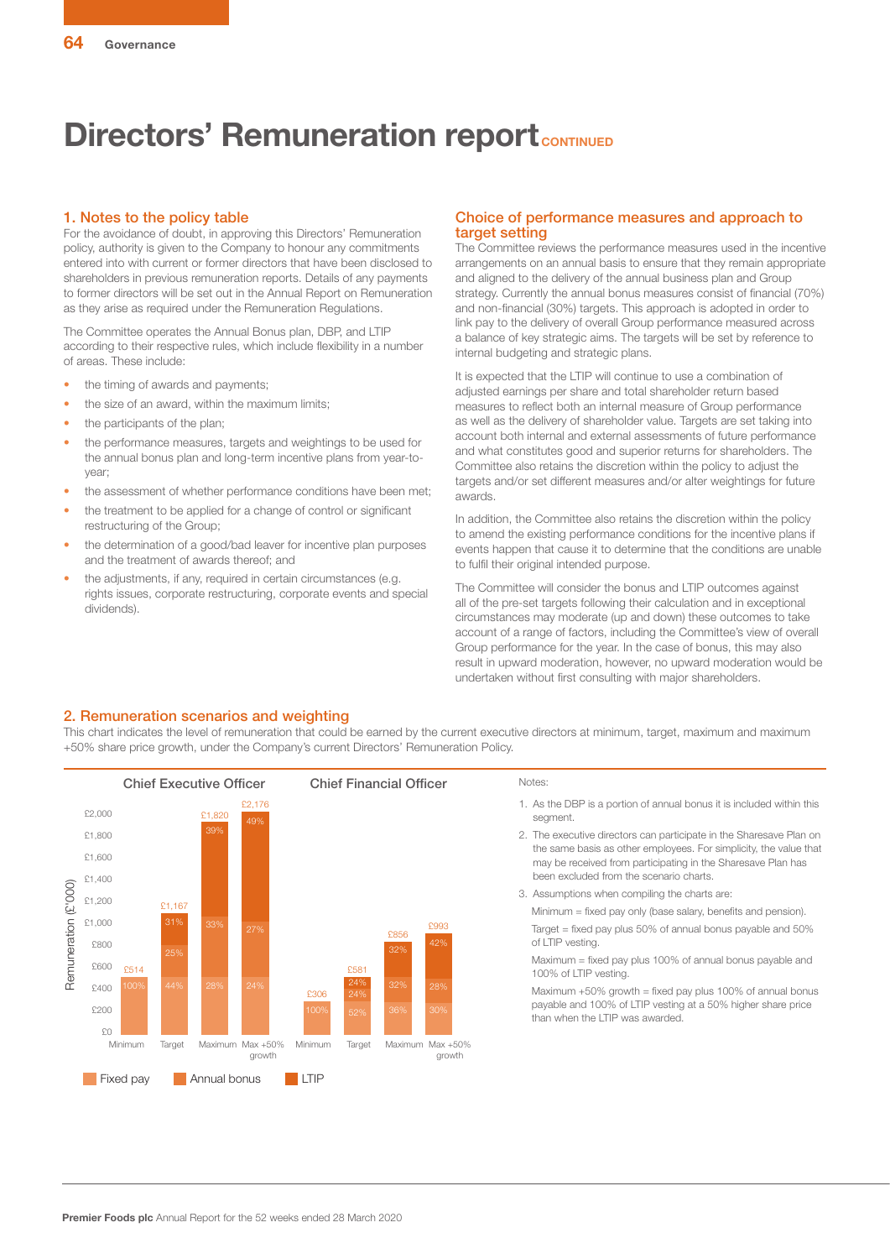# Directors' Remuneration report CONTINUED

## 1. Notes to the policy table

For the avoidance of doubt, in approving this Directors' Remuneration policy, authority is given to the Company to honour any commitments entered into with current or former directors that have been disclosed to shareholders in previous remuneration reports. Details of any payments to former directors will be set out in the Annual Report on Remuneration as they arise as required under the Remuneration Regulations.

The Committee operates the Annual Bonus plan, DBP, and LTIP according to their respective rules, which include flexibility in a number of areas. These include:

- the timing of awards and payments;
- the size of an award, within the maximum limits;
- the participants of the plan:
- the performance measures, targets and weightings to be used for the annual bonus plan and long-term incentive plans from year-toyear;
- the assessment of whether performance conditions have been met;
- the treatment to be applied for a change of control or significant restructuring of the Group;
- the determination of a good/bad leaver for incentive plan purposes and the treatment of awards thereof; and
- the adjustments, if any, required in certain circumstances (e.g. rights issues, corporate restructuring, corporate events and special dividends).

## Choice of performance measures and approach to target setting

The Committee reviews the performance measures used in the incentive arrangements on an annual basis to ensure that they remain appropriate and aligned to the delivery of the annual business plan and Group strategy. Currently the annual bonus measures consist of financial (70%) and non-financial (30%) targets. This approach is adopted in order to link pay to the delivery of overall Group performance measured across a balance of key strategic aims. The targets will be set by reference to internal budgeting and strategic plans.

It is expected that the LTIP will continue to use a combination of adjusted earnings per share and total shareholder return based measures to reflect both an internal measure of Group performance as well as the delivery of shareholder value. Targets are set taking into account both internal and external assessments of future performance and what constitutes good and superior returns for shareholders. The Committee also retains the discretion within the policy to adjust the targets and/or set different measures and/or alter weightings for future awards.

In addition, the Committee also retains the discretion within the policy to amend the existing performance conditions for the incentive plans if events happen that cause it to determine that the conditions are unable to fulfil their original intended purpose.

The Committee will consider the bonus and LTIP outcomes against all of the pre-set targets following their calculation and in exceptional circumstances may moderate (up and down) these outcomes to take account of a range of factors, including the Committee's view of overall Group performance for the year. In the case of bonus, this may also result in upward moderation, however, no upward moderation would be undertaken without first consulting with major shareholders.

## 2. Remuneration scenarios and weighting

This chart indicates the level of remuneration that could be earned by the current executive directors at minimum, target, maximum and maximum +50% share price growth, under the Company's current Directors' Remuneration Policy.



#### 1. As the DBP is a portion of annual bonus it is included within this segment.

- 2. The executive directors can participate in the Sharesave Plan on the same basis as other employees. For simplicity, the value that may be received from participating in the Sharesave Plan has been excluded from the scenario charts.
- 3. Assumptions when compiling the charts are:

Minimum = fixed pay only (base salary, benefits and pension). Target = fixed pay plus 50% of annual bonus payable and 50% of LTIP vesting.

Maximum = fixed pay plus 100% of annual bonus payable and 100% of LTIP vesting.

Maximum  $+50\%$  growth = fixed pay plus 100% of annual bonus payable and 100% of LTIP vesting at a 50% higher share price than when the LTIP was awarded.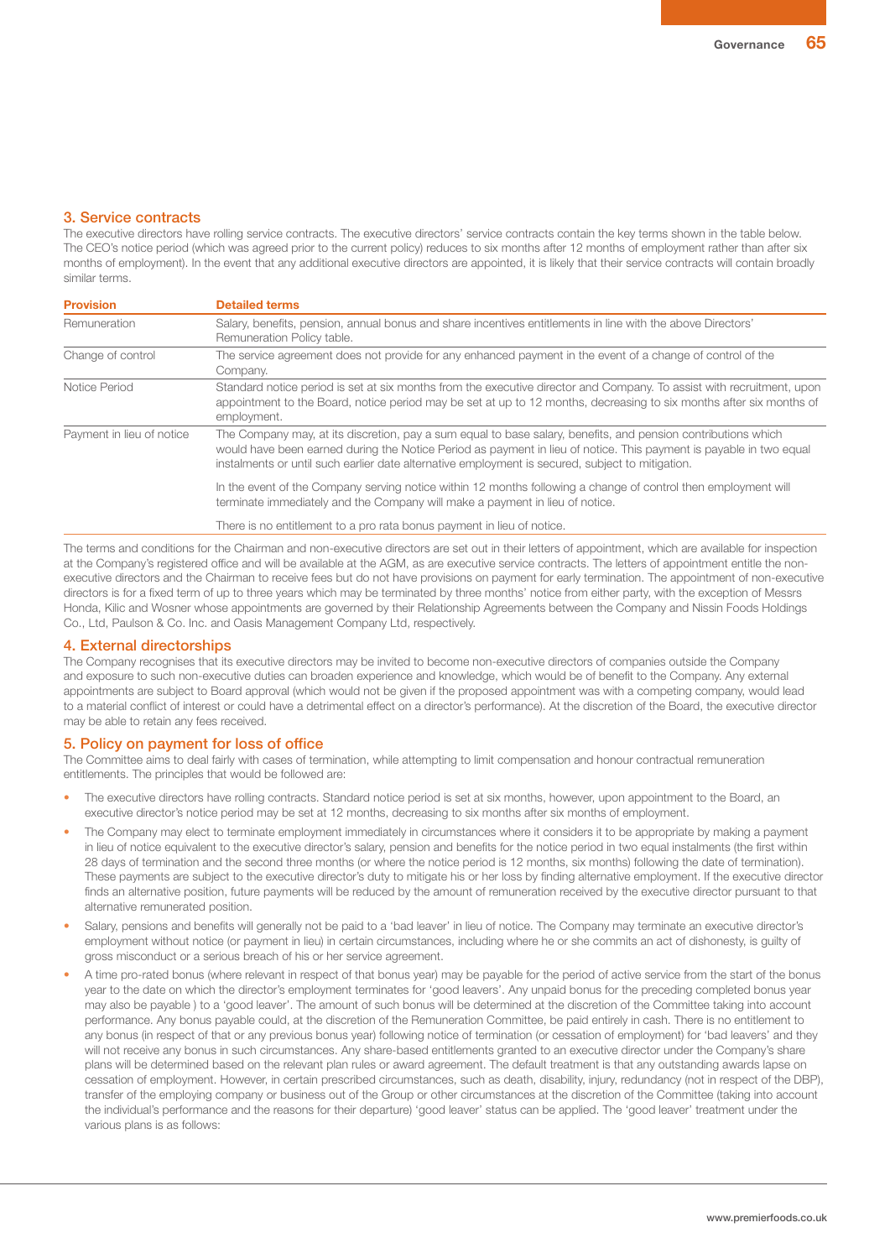# 3. Service contracts

The executive directors have rolling service contracts. The executive directors' service contracts contain the key terms shown in the table below. The CEO's notice period (which was agreed prior to the current policy) reduces to six months after 12 months of employment rather than after six months of employment). In the event that any additional executive directors are appointed, it is likely that their service contracts will contain broadly similar terms.

| <b>Provision</b>          | <b>Detailed terms</b>                                                                                                                                                                                                                                                                                                                   |
|---------------------------|-----------------------------------------------------------------------------------------------------------------------------------------------------------------------------------------------------------------------------------------------------------------------------------------------------------------------------------------|
| Remuneration              | Salary, benefits, pension, annual bonus and share incentives entitlements in line with the above Directors'<br>Remuneration Policy table.                                                                                                                                                                                               |
| Change of control         | The service agreement does not provide for any enhanced payment in the event of a change of control of the<br>Company.                                                                                                                                                                                                                  |
| Notice Period             | Standard notice period is set at six months from the executive director and Company. To assist with recruitment, upon<br>appointment to the Board, notice period may be set at up to 12 months, decreasing to six months after six months of<br>employment.                                                                             |
| Payment in lieu of notice | The Company may, at its discretion, pay a sum equal to base salary, benefits, and pension contributions which<br>would have been earned during the Notice Period as payment in lieu of notice. This payment is payable in two equal<br>instalments or until such earlier date alternative employment is secured, subject to mitigation. |
|                           | In the event of the Company serving notice within 12 months following a change of control then employment will<br>terminate immediately and the Company will make a payment in lieu of notice.                                                                                                                                          |
|                           | There is no entitlement to a pro rata bonus payment in lieu of notice.                                                                                                                                                                                                                                                                  |
|                           | The found and conditions for the Abeliance and and criticalling discusses and act in the following foundation and related and arrational conditional control of the foundation.                                                                                                                                                         |

The terms and conditions for the Chairman and non-executive directors are set out in their letters of appointment, which are available for inspection at the Company's registered office and will be available at the AGM, as are executive service contracts. The letters of appointment entitle the nonexecutive directors and the Chairman to receive fees but do not have provisions on payment for early termination. The appointment of non-executive directors is for a fixed term of up to three years which may be terminated by three months' notice from either party, with the exception of Messrs Honda, Kilic and Wosner whose appointments are governed by their Relationship Agreements between the Company and Nissin Foods Holdings Co., Ltd, Paulson & Co. Inc. and Oasis Management Company Ltd, respectively.

# 4. External directorships

The Company recognises that its executive directors may be invited to become non-executive directors of companies outside the Company and exposure to such non-executive duties can broaden experience and knowledge, which would be of benefit to the Company. Any external appointments are subject to Board approval (which would not be given if the proposed appointment was with a competing company, would lead to a material conflict of interest or could have a detrimental effect on a director's performance). At the discretion of the Board, the executive director may be able to retain any fees received.

# 5. Policy on payment for loss of office

The Committee aims to deal fairly with cases of termination, while attempting to limit compensation and honour contractual remuneration entitlements. The principles that would be followed are:

- The executive directors have rolling contracts. Standard notice period is set at six months, however, upon appointment to the Board, an executive director's notice period may be set at 12 months, decreasing to six months after six months of employment.
- The Company may elect to terminate employment immediately in circumstances where it considers it to be appropriate by making a payment in lieu of notice equivalent to the executive director's salary, pension and benefits for the notice period in two equal instalments (the first within 28 days of termination and the second three months (or where the notice period is 12 months, six months) following the date of termination). These payments are subject to the executive director's duty to mitigate his or her loss by finding alternative employment. If the executive director finds an alternative position, future payments will be reduced by the amount of remuneration received by the executive director pursuant to that alternative remunerated position.
- Salary, pensions and benefits will generally not be paid to a 'bad leaver' in lieu of notice. The Company may terminate an executive director's employment without notice (or payment in lieu) in certain circumstances, including where he or she commits an act of dishonesty, is guilty of gross misconduct or a serious breach of his or her service agreement.
- A time pro-rated bonus (where relevant in respect of that bonus year) may be payable for the period of active service from the start of the bonus year to the date on which the director's employment terminates for 'good leavers'. Any unpaid bonus for the preceding completed bonus year may also be payable ) to a 'good leaver'. The amount of such bonus will be determined at the discretion of the Committee taking into account performance. Any bonus payable could, at the discretion of the Remuneration Committee, be paid entirely in cash. There is no entitlement to any bonus (in respect of that or any previous bonus year) following notice of termination (or cessation of employment) for 'bad leavers' and they will not receive any bonus in such circumstances. Any share-based entitlements granted to an executive director under the Company's share plans will be determined based on the relevant plan rules or award agreement. The default treatment is that any outstanding awards lapse on cessation of employment. However, in certain prescribed circumstances, such as death, disability, injury, redundancy (not in respect of the DBP), transfer of the employing company or business out of the Group or other circumstances at the discretion of the Committee (taking into account the individual's performance and the reasons for their departure) 'good leaver' status can be applied. The 'good leaver' treatment under the various plans is as follows: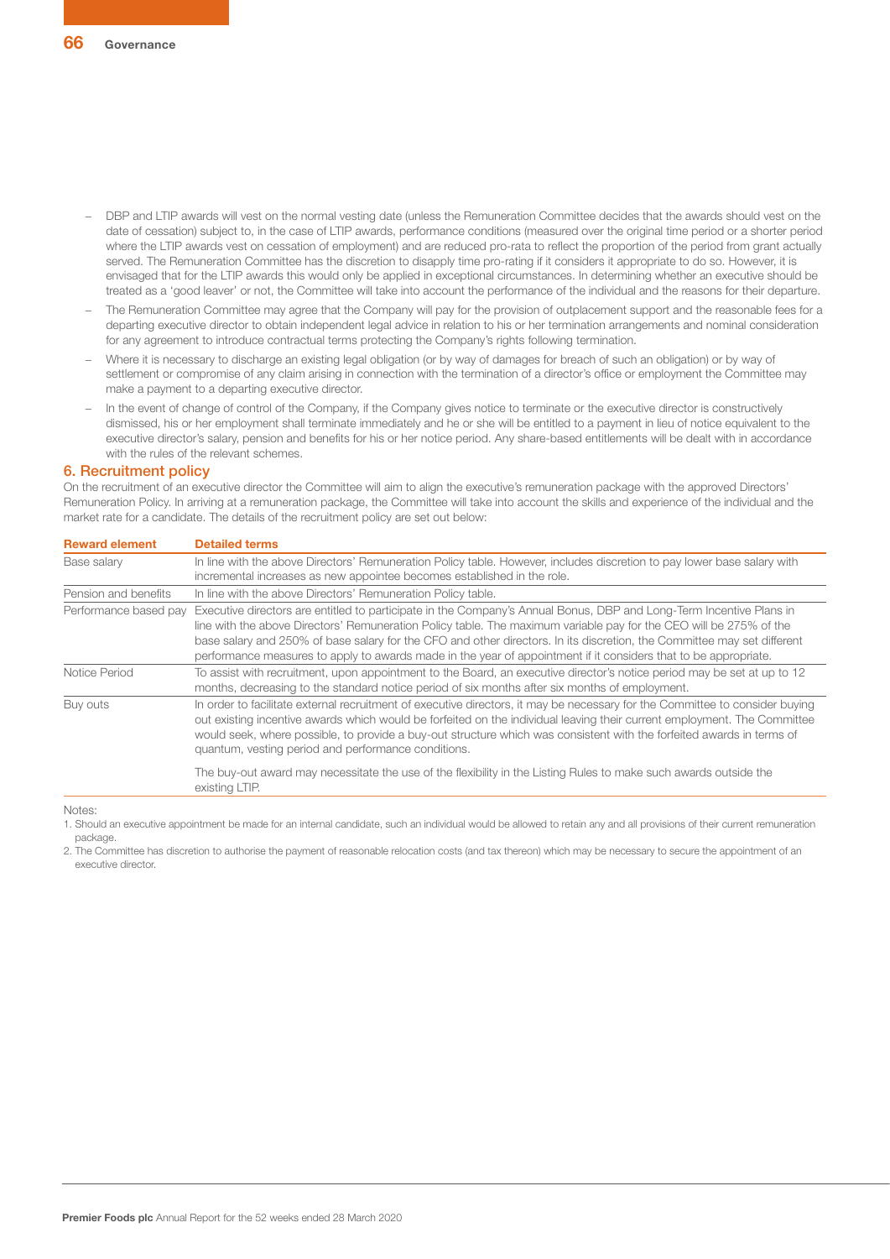- DBP and LTIP awards will vest on the normal vesting date (unless the Remuneration Committee decides that the awards should vest on the date of cessation) subject to, in the case of LTIP awards, performance conditions (measured over the original time period or a shorter period where the LTIP awards vest on cessation of employment) and are reduced pro-rata to reflect the proportion of the period from grant actually served. The Remuneration Committee has the discretion to disapply time pro-rating if it considers it appropriate to do so. However, it is envisaged that for the LTIP awards this would only be applied in exceptional circumstances. In determining whether an executive should be treated as a 'good leaver' or not, the Committee will take into account the performance of the individual and the reasons for their departure.
- The Remuneration Committee may agree that the Company will pay for the provision of outplacement support and the reasonable fees for a departing executive director to obtain independent legal advice in relation to his or her termination arrangements and nominal consideration for any agreement to introduce contractual terms protecting the Company's rights following termination.
- − Where it is necessary to discharge an existing legal obligation (or by way of damages for breach of such an obligation) or by way of settlement or compromise of any claim arising in connection with the termination of a director's office or employment the Committee may make a payment to a departing executive director.
- In the event of change of control of the Company, if the Company gives notice to terminate or the executive director is constructively dismissed, his or her employment shall terminate immediately and he or she will be entitled to a payment in lieu of notice equivalent to the executive director's salary, pension and benefits for his or her notice period. Any share-based entitlements will be dealt with in accordance with the rules of the relevant schemes.

#### 6. Recruitment policy

On the recruitment of an executive director the Committee will aim to align the executive's remuneration package with the approved Directors' Remuneration Policy. In arriving at a remuneration package, the Committee will take into account the skills and experience of the individual and the market rate for a candidate. The details of the recruitment policy are set out below:

| <b>Reward element</b> | <b>Detailed terms</b>                                                                                                                                                                                                                                                                                                                                                                                                                                                                   |
|-----------------------|-----------------------------------------------------------------------------------------------------------------------------------------------------------------------------------------------------------------------------------------------------------------------------------------------------------------------------------------------------------------------------------------------------------------------------------------------------------------------------------------|
| Base salary           | In line with the above Directors' Remuneration Policy table. However, includes discretion to pay lower base salary with<br>incremental increases as new appointee becomes established in the role.                                                                                                                                                                                                                                                                                      |
| Pension and benefits  | In line with the above Directors' Remuneration Policy table.                                                                                                                                                                                                                                                                                                                                                                                                                            |
| Performance based pay | Executive directors are entitled to participate in the Company's Annual Bonus, DBP and Long-Term Incentive Plans in<br>line with the above Directors' Remuneration Policy table. The maximum variable pay for the CEO will be 275% of the<br>base salary and 250% of base salary for the CFO and other directors. In its discretion, the Committee may set different<br>performance measures to apply to awards made in the year of appointment if it considers that to be appropriate. |
| Notice Period         | To assist with recruitment, upon appointment to the Board, an executive director's notice period may be set at up to 12<br>months, decreasing to the standard notice period of six months after six months of employment.                                                                                                                                                                                                                                                               |
| Buy outs              | In order to facilitate external recruitment of executive directors, it may be necessary for the Committee to consider buying<br>out existing incentive awards which would be forfeited on the individual leaving their current employment. The Committee<br>would seek, where possible, to provide a buy-out structure which was consistent with the forfeited awards in terms of<br>quantum, vesting period and performance conditions.                                                |
|                       | The buy-out award may necessitate the use of the flexibility in the Listing Rules to make such awards outside the<br>existing LTIP.                                                                                                                                                                                                                                                                                                                                                     |

Notes:

1. Should an executive appointment be made for an internal candidate, such an individual would be allowed to retain any and all provisions of their current remuneration package.

2. The Committee has discretion to authorise the payment of reasonable relocation costs (and tax thereon) which may be necessary to secure the appointment of an executive director.